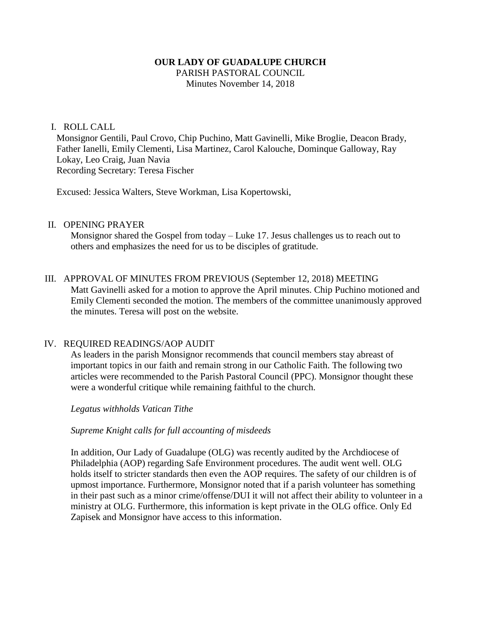### **OUR LADY OF GUADALUPE CHURCH**

PARISH PASTORAL COUNCIL Minutes November 14, 2018

#### I. ROLL CALL

Monsignor Gentili, Paul Crovo, Chip Puchino, Matt Gavinelli, Mike Broglie, Deacon Brady, Father Ianelli, Emily Clementi, Lisa Martinez, Carol Kalouche, Dominque Galloway, Ray Lokay, Leo Craig, Juan Navia Recording Secretary: Teresa Fischer

Excused: Jessica Walters, Steve Workman, Lisa Kopertowski,

#### II. OPENING PRAYER

Monsignor shared the Gospel from today – Luke 17. Jesus challenges us to reach out to others and emphasizes the need for us to be disciples of gratitude.

### III. APPROVAL OF MINUTES FROM PREVIOUS (September 12, 2018) MEETING Matt Gavinelli asked for a motion to approve the April minutes. Chip Puchino motioned and Emily Clementi seconded the motion. The members of the committee unanimously approved the minutes. Teresa will post on the website.

#### IV. REQUIRED READINGS/AOP AUDIT

As leaders in the parish Monsignor recommends that council members stay abreast of important topics in our faith and remain strong in our Catholic Faith. The following two articles were recommended to the Parish Pastoral Council (PPC). Monsignor thought these were a wonderful critique while remaining faithful to the church.

*Legatus withholds Vatican Tithe*

#### *Supreme Knight calls for full accounting of misdeeds*

In addition, Our Lady of Guadalupe (OLG) was recently audited by the Archdiocese of Philadelphia (AOP) regarding Safe Environment procedures. The audit went well. OLG holds itself to stricter standards then even the AOP requires. The safety of our children is of upmost importance. Furthermore, Monsignor noted that if a parish volunteer has something in their past such as a minor crime/offense/DUI it will not affect their ability to volunteer in a ministry at OLG. Furthermore, this information is kept private in the OLG office. Only Ed Zapisek and Monsignor have access to this information.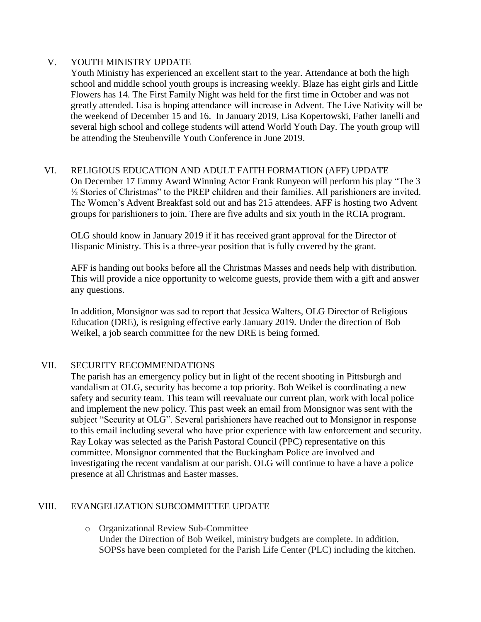## V. YOUTH MINISTRY UPDATE

Youth Ministry has experienced an excellent start to the year. Attendance at both the high school and middle school youth groups is increasing weekly. Blaze has eight girls and Little Flowers has 14. The First Family Night was held for the first time in October and was not greatly attended. Lisa is hoping attendance will increase in Advent. The Live Nativity will be the weekend of December 15 and 16. In January 2019, Lisa Kopertowski, Father Ianelli and several high school and college students will attend World Youth Day. The youth group will be attending the Steubenville Youth Conference in June 2019.

#### VI. RELIGIOUS EDUCATION AND ADULT FAITH FORMATION (AFF) UPDATE

On December 17 Emmy Award Winning Actor Frank Runyeon will perform his play "The 3 ½ Stories of Christmas" to the PREP children and their families. All parishioners are invited. The Women's Advent Breakfast sold out and has 215 attendees. AFF is hosting two Advent groups for parishioners to join. There are five adults and six youth in the RCIA program.

OLG should know in January 2019 if it has received grant approval for the Director of Hispanic Ministry. This is a three-year position that is fully covered by the grant.

AFF is handing out books before all the Christmas Masses and needs help with distribution. This will provide a nice opportunity to welcome guests, provide them with a gift and answer any questions.

In addition, Monsignor was sad to report that Jessica Walters, OLG Director of Religious Education (DRE), is resigning effective early January 2019. Under the direction of Bob Weikel, a job search committee for the new DRE is being formed.

## VII. SECURITY RECOMMENDATIONS

The parish has an emergency policy but in light of the recent shooting in Pittsburgh and vandalism at OLG, security has become a top priority. Bob Weikel is coordinating a new safety and security team. This team will reevaluate our current plan, work with local police and implement the new policy. This past week an email from Monsignor was sent with the subject "Security at OLG". Several parishioners have reached out to Monsignor in response to this email including several who have prior experience with law enforcement and security. Ray Lokay was selected as the Parish Pastoral Council (PPC) representative on this committee. Monsignor commented that the Buckingham Police are involved and investigating the recent vandalism at our parish. OLG will continue to have a have a police presence at all Christmas and Easter masses.

## VIII. EVANGELIZATION SUBCOMMITTEE UPDATE

o Organizational Review Sub-Committee Under the Direction of Bob Weikel, ministry budgets are complete. In addition, SOPSs have been completed for the Parish Life Center (PLC) including the kitchen.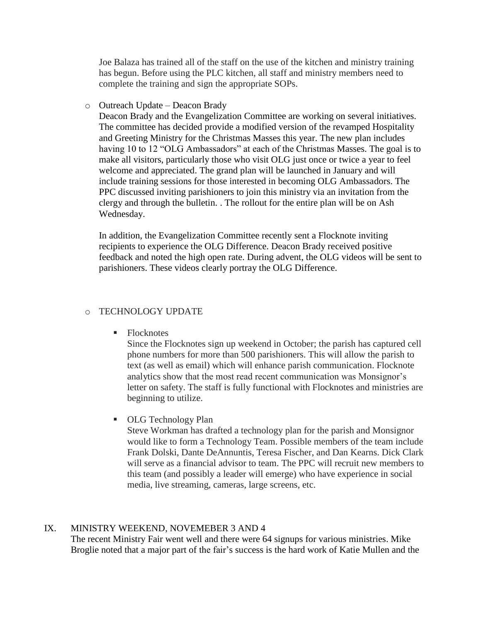Joe Balaza has trained all of the staff on the use of the kitchen and ministry training has begun. Before using the PLC kitchen, all staff and ministry members need to complete the training and sign the appropriate SOPs.

o Outreach Update – Deacon Brady

Deacon Brady and the Evangelization Committee are working on several initiatives. The committee has decided provide a modified version of the revamped Hospitality and Greeting Ministry for the Christmas Masses this year. The new plan includes having 10 to 12 "OLG Ambassadors" at each of the Christmas Masses. The goal is to make all visitors, particularly those who visit OLG just once or twice a year to feel welcome and appreciated. The grand plan will be launched in January and will include training sessions for those interested in becoming OLG Ambassadors. The PPC discussed inviting parishioners to join this ministry via an invitation from the clergy and through the bulletin. . The rollout for the entire plan will be on Ash Wednesday.

In addition, the Evangelization Committee recently sent a Flocknote inviting recipients to experience the OLG Difference. Deacon Brady received positive feedback and noted the high open rate. During advent, the OLG videos will be sent to parishioners. These videos clearly portray the OLG Difference.

#### o TECHNOLOGY UPDATE

■ Flocknotes

Since the Flocknotes sign up weekend in October; the parish has captured cell phone numbers for more than 500 parishioners. This will allow the parish to text (as well as email) which will enhance parish communication. Flocknote analytics show that the most read recent communication was Monsignor's letter on safety. The staff is fully functional with Flocknotes and ministries are beginning to utilize.

**COLG Technology Plan** 

Steve Workman has drafted a technology plan for the parish and Monsignor would like to form a Technology Team. Possible members of the team include Frank Dolski, Dante DeAnnuntis, Teresa Fischer, and Dan Kearns. Dick Clark will serve as a financial advisor to team. The PPC will recruit new members to this team (and possibly a leader will emerge) who have experience in social media, live streaming, cameras, large screens, etc.

#### IX. MINISTRY WEEKEND, NOVEMEBER 3 AND 4

The recent Ministry Fair went well and there were 64 signups for various ministries. Mike Broglie noted that a major part of the fair's success is the hard work of Katie Mullen and the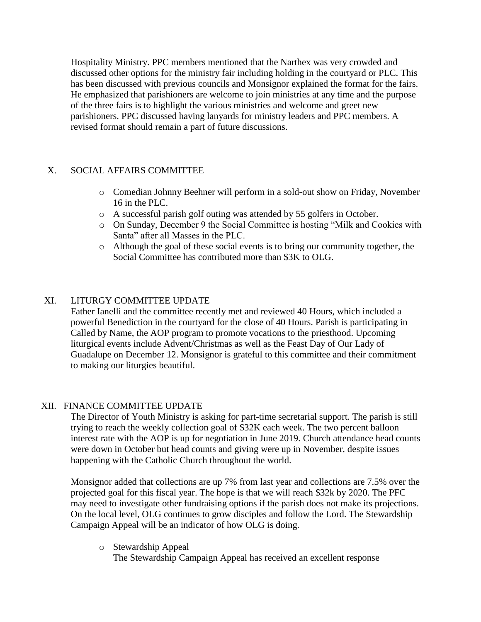Hospitality Ministry. PPC members mentioned that the Narthex was very crowded and discussed other options for the ministry fair including holding in the courtyard or PLC. This has been discussed with previous councils and Monsignor explained the format for the fairs. He emphasized that parishioners are welcome to join ministries at any time and the purpose of the three fairs is to highlight the various ministries and welcome and greet new parishioners. PPC discussed having lanyards for ministry leaders and PPC members. A revised format should remain a part of future discussions.

# X. SOCIAL AFFAIRS COMMITTEE

- o Comedian Johnny Beehner will perform in a sold-out show on Friday, November 16 in the PLC.
- o A successful parish golf outing was attended by 55 golfers in October.
- o On Sunday, December 9 the Social Committee is hosting "Milk and Cookies with Santa" after all Masses in the PLC.
- o Although the goal of these social events is to bring our community together, the Social Committee has contributed more than \$3K to OLG.

# XI. LITURGY COMMITTEE UPDATE

Father Ianelli and the committee recently met and reviewed 40 Hours, which included a powerful Benediction in the courtyard for the close of 40 Hours. Parish is participating in Called by Name, the AOP program to promote vocations to the priesthood. Upcoming liturgical events include Advent/Christmas as well as the Feast Day of Our Lady of Guadalupe on December 12. Monsignor is grateful to this committee and their commitment to making our liturgies beautiful.

## XII. FINANCE COMMITTEE UPDATE

The Director of Youth Ministry is asking for part-time secretarial support. The parish is still trying to reach the weekly collection goal of \$32K each week. The two percent balloon interest rate with the AOP is up for negotiation in June 2019. Church attendance head counts were down in October but head counts and giving were up in November, despite issues happening with the Catholic Church throughout the world.

Monsignor added that collections are up 7% from last year and collections are 7.5% over the projected goal for this fiscal year. The hope is that we will reach \$32k by 2020. The PFC may need to investigate other fundraising options if the parish does not make its projections. On the local level, OLG continues to grow disciples and follow the Lord. The Stewardship Campaign Appeal will be an indicator of how OLG is doing.

o Stewardship Appeal The Stewardship Campaign Appeal has received an excellent response